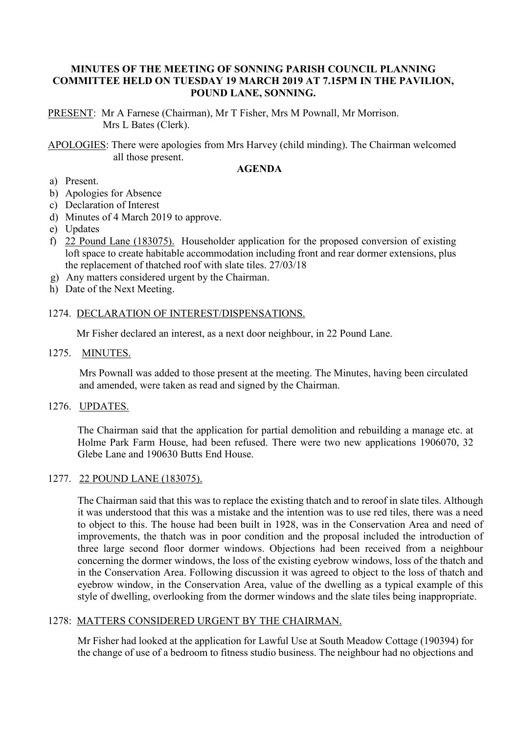## **MINUTES OF THE MEETING OF SONNING PARISH COUNCIL PLANNING COMMITTEE HELD ON TUESDAY 19 MARCH 2019 AT 7.15PM IN THE PAVILION, POUND LANE, SONNING.**

PRESENT: Mr A Farnese (Chairman), Mr T Fisher, Mrs M Pownall, Mr Morrison. Mrs L Bates (Clerk).

APOLOGIES: There were apologies from Mrs Harvey (child minding). The Chairman welcomed all those present.

## **AGENDA**

- a) Present.
- b) Apologies for Absence
- c) Declaration of Interest
- d) Minutes of 4 March 2019 to approve.
- e) Updates
- f) 22 Pound Lane (183075). Householder application for the proposed conversion of existing loft space to create habitable accommodation including front and rear dormer extensions, plus the replacement of thatched roof with slate tiles. 27/03/18
- g) Any matters considered urgent by the Chairman.
- h) Date of the Next Meeting.

## 1274. DECLARATION OF INTEREST/DISPENSATIONS.

Mr Fisher declared an interest, as a next door neighbour, in 22 Pound Lane.

# 1275. MINUTES.

 Mrs Pownall was added to those present at the meeting. The Minutes, having been circulated and amended, were taken as read and signed by the Chairman.

#### 1276. UPDATES.

The Chairman said that the application for partial demolition and rebuilding a manage etc. at Holme Park Farm House, had been refused. There were two new applications 1906070, 32 Glebe Lane and 190630 Butts End House.

## 1277. 22 POUND LANE (183075).

The Chairman said that this was to replace the existing thatch and to reroof in slate tiles. Although it was understood that this was a mistake and the intention was to use red tiles, there was a need to object to this. The house had been built in 1928, was in the Conservation Area and need of improvements, the thatch was in poor condition and the proposal included the introduction of three large second floor dormer windows. Objections had been received from a neighbour concerning the dormer windows, the loss of the existing eyebrow windows, loss of the thatch and in the Conservation Area. Following discussion it was agreed to object to the loss of thatch and eyebrow window, in the Conservation Area, value of the dwelling as a typical example of this style of dwelling, overlooking from the dormer windows and the slate tiles being inappropriate.

## 1278: MATTERS CONSIDERED URGENT BY THE CHAIRMAN.

Mr Fisher had looked at the application for Lawful Use at South Meadow Cottage (190394) for the change of use of a bedroom to fitness studio business. The neighbour had no objections and